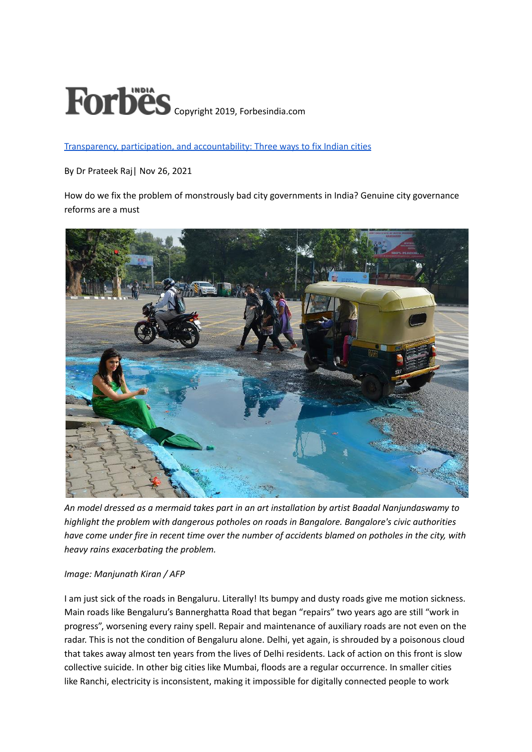## Forbes Copyright 2019, Forbesindia.com

Transparency, participation, and [accountability:](https://www.forbesindia.com/article/iim-bangalore/transparency-participation-and-accountability-three-ways-to-fix-indian-cities/71811/1) Three ways to fix Indian cities

By Dr Prateek Raj| Nov 26, 2021

How do we fix the problem of monstrously bad city governments in India? Genuine city governance reforms are a must



*An model dressed as a mermaid takes part in an art installation by artist Baadal Nanjundaswamy to highlight the problem with dangerous potholes on roads in Bangalore. Bangalore's civic authorities* have come under fire in recent time over the number of accidents blamed on potholes in the city, with *heavy rains exacerbating the problem.*

## *Image: Manjunath Kiran / AFP*

I am just sick of the roads in Bengaluru. Literally! Its bumpy and dusty roads give me motion sickness. Main roads like Bengaluru's Bannerghatta Road that began "repairs" two years ago are still "work in progress", worsening every rainy spell. Repair and maintenance of auxiliary roads are not even on the radar. This is not the condition of Bengaluru alone. Delhi, yet again, is shrouded by a poisonous cloud that takes away almost ten years from the lives of Delhi residents. Lack of action on this front is slow collective suicide. In other big cities like Mumbai, floods are a regular occurrence. In smaller cities like Ranchi, electricity is inconsistent, making it impossible for digitally connected people to work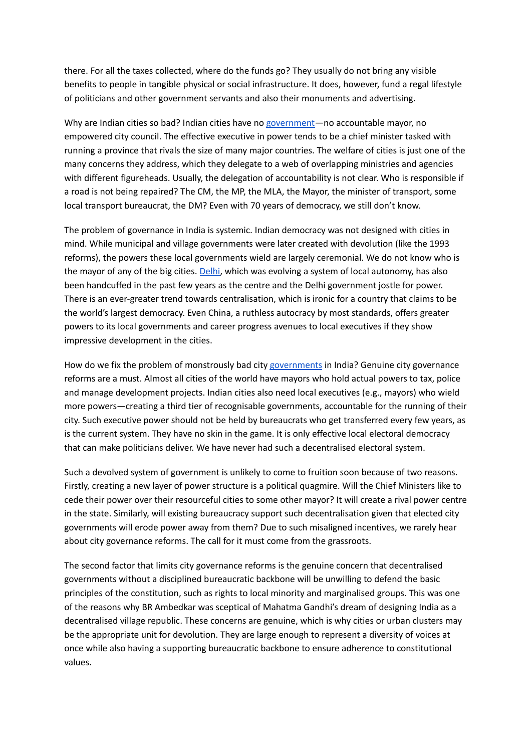there. For all the taxes collected, where do the funds go? They usually do not bring any visible benefits to people in tangible physical or social infrastructure. It does, however, fund a regal lifestyle of politicians and other government servants and also their monuments and advertising.

Why are Indian cities so bad? Indian cities have no [government—](https://www.forbesindia.com/article/iim-bangalore/is-governments-frenzy-for-worlds-largest-vaccination-programme-misplaced/65821/1)no accountable mayor, no empowered city council. The effective executive in power tends to be a chief minister tasked with running a province that rivals the size of many major countries. The welfare of cities is just one of the many concerns they address, which they delegate to a web of overlapping ministries and agencies with different figureheads. Usually, the delegation of accountability is not clear. Who is responsible if a road is not being repaired? The CM, the MP, the MLA, the Mayor, the minister of transport, some local transport bureaucrat, the DM? Even with 70 years of democracy, we still don't know.

The problem of governance in India is systemic. Indian democracy was not designed with cities in mind. While municipal and village governments were later created with devolution (like the 1993 reforms), the powers these local governments wield are largely ceremonial. We do not know who is the mayor of any of the big cities. [Delhi,](https://www.forbesindia.com/article/news-by-numbers/delhi-is-the-most-polluted-city-in-the-world-today/71561/1) which was evolving a system of local autonomy, has also been handcuffed in the past few years as the centre and the Delhi government jostle for power. There is an ever-greater trend towards centralisation, which is ironic for a country that claims to be the world's largest democracy. Even China, a ruthless autocracy by most standards, offers greater powers to its local governments and career progress avenues to local executives if they show impressive development in the cities.

How do we fix the problem of monstrously bad city [governments](https://www.forbesindia.com/article/great-lakes-institute-of-management/could-the-government-spend-more-during-the-lockdown/63783/1) in India? Genuine city governance reforms are a must. Almost all cities of the world have mayors who hold actual powers to tax, police and manage development projects. Indian cities also need local executives (e.g., mayors) who wield more powers—creating a third tier of recognisable governments, accountable for the running of their city. Such executive power should not be held by bureaucrats who get transferred every few years, as is the current system. They have no skin in the game. It is only effective local electoral democracy that can make politicians deliver. We have never had such a decentralised electoral system.

Such a devolved system of government is unlikely to come to fruition soon because of two reasons. Firstly, creating a new layer of power structure is a political quagmire. Will the Chief Ministers like to cede their power over their resourceful cities to some other mayor? It will create a rival power centre in the state. Similarly, will existing bureaucracy support such decentralisation given that elected city governments will erode power away from them? Due to such misaligned incentives, we rarely hear about city governance reforms. The call for it must come from the grassroots.

The second factor that limits city governance reforms is the genuine concern that decentralised governments without a disciplined bureaucratic backbone will be unwilling to defend the basic principles of the constitution, such as rights to local minority and marginalised groups. This was one of the reasons why BR Ambedkar was sceptical of Mahatma Gandhi's dream of designing India as a decentralised village republic. These concerns are genuine, which is why cities or urban clusters may be the appropriate unit for devolution. They are large enough to represent a diversity of voices at once while also having a supporting bureaucratic backbone to ensure adherence to constitutional values.